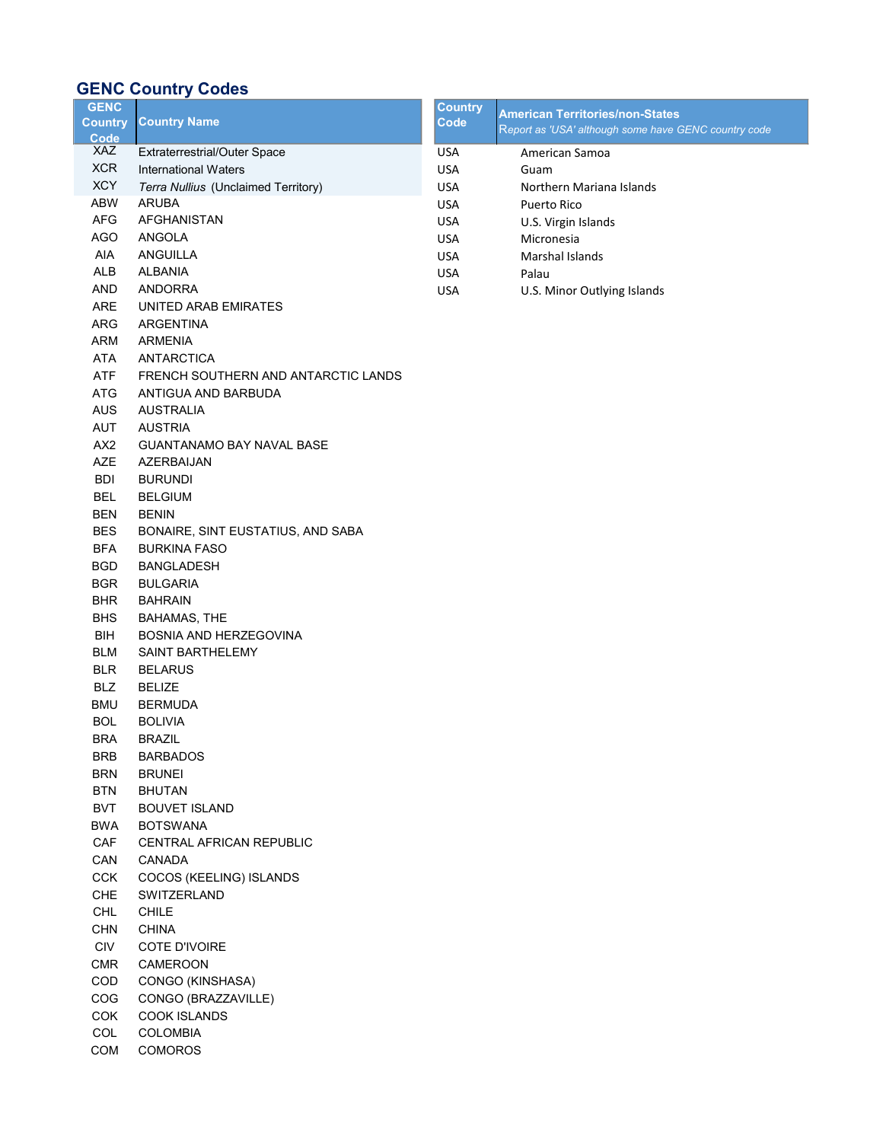## GENC Country Codes

| <b>GENC</b>              |                                     | <b>Country</b> | <b>American Territories/non-States</b>               |
|--------------------------|-------------------------------------|----------------|------------------------------------------------------|
| <b>Country</b><br>Code   | <b>Country Name</b>                 | Code           | Report as 'USA' although some have GENC country code |
| XAZ                      | Extraterrestrial/Outer Space        | <b>USA</b>     | American Samoa                                       |
| <b>XCR</b>               | <b>International Waters</b>         | <b>USA</b>     | Guam                                                 |
| <b>XCY</b>               | Terra Nullius (Unclaimed Territory) | <b>USA</b>     | Northern Mariana Islands                             |
| ABW                      | <b>ARUBA</b>                        | <b>USA</b>     | Puerto Rico                                          |
| AFG                      | AFGHANISTAN                         | <b>USA</b>     | U.S. Virgin Islands                                  |
| AGO                      | ANGOLA                              | <b>USA</b>     | Micronesia                                           |
| AIA                      | ANGUILLA                            | <b>USA</b>     | <b>Marshal Islands</b>                               |
| ALB                      | <b>ALBANIA</b>                      | <b>USA</b>     | Palau                                                |
| AND                      | <b>ANDORRA</b>                      | <b>USA</b>     | U.S. Minor Outlying Islands                          |
| ARE                      | UNITED ARAB EMIRATES                |                |                                                      |
| ARG                      | <b>ARGENTINA</b>                    |                |                                                      |
| ARM                      | <b>ARMENIA</b>                      |                |                                                      |
| <b>ATA</b>               | ANTARCTICA                          |                |                                                      |
| ATF                      | FRENCH SOUTHERN AND ANTARCTIC LANDS |                |                                                      |
| ATG                      | ANTIGUA AND BARBUDA                 |                |                                                      |
| AUS                      | <b>AUSTRALIA</b>                    |                |                                                      |
| AUT                      | <b>AUSTRIA</b>                      |                |                                                      |
| AX <sub>2</sub>          | <b>GUANTANAMO BAY NAVAL BASE</b>    |                |                                                      |
| AZE                      | AZERBAIJAN                          |                |                                                      |
| <b>BDI</b>               | <b>BURUNDI</b>                      |                |                                                      |
| <b>BEL</b>               | <b>BELGIUM</b>                      |                |                                                      |
| <b>BEN</b>               | <b>BENIN</b>                        |                |                                                      |
| <b>BES</b>               | BONAIRE, SINT EUSTATIUS, AND SABA   |                |                                                      |
| <b>BFA</b>               | <b>BURKINA FASO</b>                 |                |                                                      |
| <b>BGD</b>               | <b>BANGLADESH</b>                   |                |                                                      |
| <b>BGR</b>               | <b>BULGARIA</b>                     |                |                                                      |
| <b>BHR</b>               | <b>BAHRAIN</b>                      |                |                                                      |
| <b>BHS</b>               | <b>BAHAMAS, THE</b>                 |                |                                                      |
| <b>BIH</b>               | BOSNIA AND HERZEGOVINA              |                |                                                      |
| <b>BLM</b>               | <b>SAINT BARTHELEMY</b>             |                |                                                      |
| <b>BLR</b>               | <b>BELARUS</b>                      |                |                                                      |
| <b>BLZ</b>               | <b>BELIZE</b>                       |                |                                                      |
| <b>BMU</b>               | <b>BERMUDA</b>                      |                |                                                      |
| <b>BOL</b>               | <b>BOLIVIA</b>                      |                |                                                      |
|                          |                                     |                |                                                      |
| <b>BRA</b>               | <b>BRAZIL</b>                       |                |                                                      |
| <b>BRB</b>               | <b>BARBADOS</b>                     |                |                                                      |
| <b>BRN</b><br><b>BTN</b> | <b>BRUNEI</b><br><b>BHUTAN</b>      |                |                                                      |
| <b>BVT</b>               |                                     |                |                                                      |
|                          | <b>BOUVET ISLAND</b>                |                |                                                      |
| <b>BWA</b>               | <b>BOTSWANA</b>                     |                |                                                      |
| CAF                      | CENTRAL AFRICAN REPUBLIC            |                |                                                      |
| CAN                      | CANADA                              |                |                                                      |
| <b>CCK</b>               | COCOS (KEELING) ISLANDS             |                |                                                      |
| CHE                      | SWITZERLAND                         |                |                                                      |
| CHL                      | <b>CHILE</b>                        |                |                                                      |
| <b>CHN</b>               | <b>CHINA</b>                        |                |                                                      |
| <b>CIV</b>               | COTE D'IVOIRE                       |                |                                                      |
| <b>CMR</b>               | CAMEROON                            |                |                                                      |
| COD                      | CONGO (KINSHASA)                    |                |                                                      |
| COG                      | CONGO (BRAZZAVILLE)                 |                |                                                      |
| COK                      | <b>COOK ISLANDS</b>                 |                |                                                      |
| COL                      | <b>COLOMBIA</b>                     |                |                                                      |
| COM                      | COMOROS                             |                |                                                      |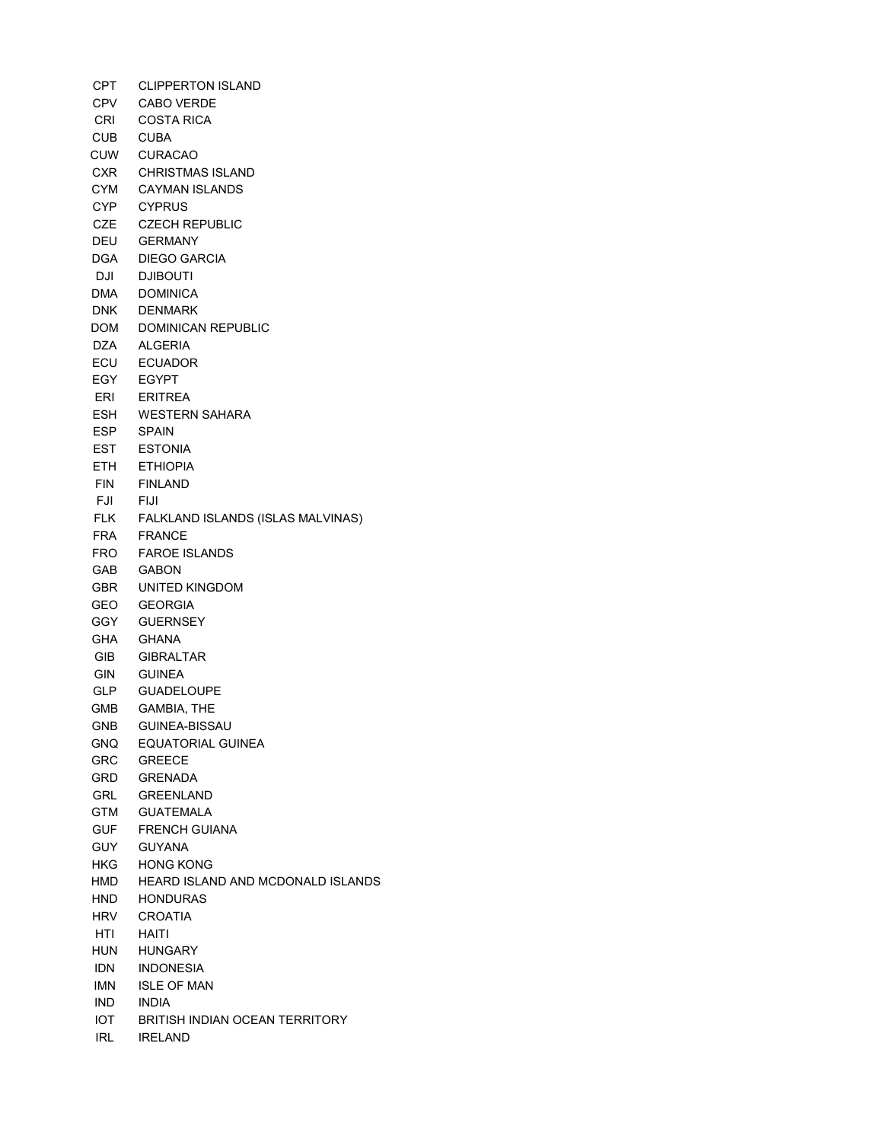CPT CLIPPERTON ISLAND CPV CABO VERDE CRI COSTA RICA CUB CUBA CUW CURACAO CXR CHRISTMAS ISLAND CYM CAYMAN ISLANDS CYP CYPRUS CZE CZECH REPUBLIC DEU GERMANY DGA DIEGO GARCIA DJI DJIBOUTI DMA DOMINICA DNK DENMARK DOM DOMINICAN REPUBLIC DZA ALGERIA ECU ECUADOR EGY EGYPT ERI ERITREA ESH WESTERN SAHARA ESP SPAIN EST ESTONIA ETH ETHIOPIA FIN FINLAND FJI FIJI FLK FALKLAND ISLANDS (ISLAS MALVINAS) FRA FRANCE FRO FAROE ISLANDS GAB GABON GBR UNITED KINGDOM GEO GEORGIA GGY GUERNSEY GHA GHANA GIB GIBRALTAR GIN GUINEA GLP GUADELOUPE GMB GAMBIA, THE GNB GUINEA-BISSAU GNQ EQUATORIAL GUINEA GRC GREECE GRD GRENADA GRL GREENLAND GTM GUATEMALA GUF FRENCH GUIANA GUY GUYANA HKG HONG KONG HMD HEARD ISLAND AND MCDONALD ISLANDS HND HONDURAS HRV CROATIA HTI HAITI HUN HUNGARY IDN INDONESIA IMN ISLE OF MAN IND INDIA IOT BRITISH INDIAN OCEAN TERRITORY IRL IRELAND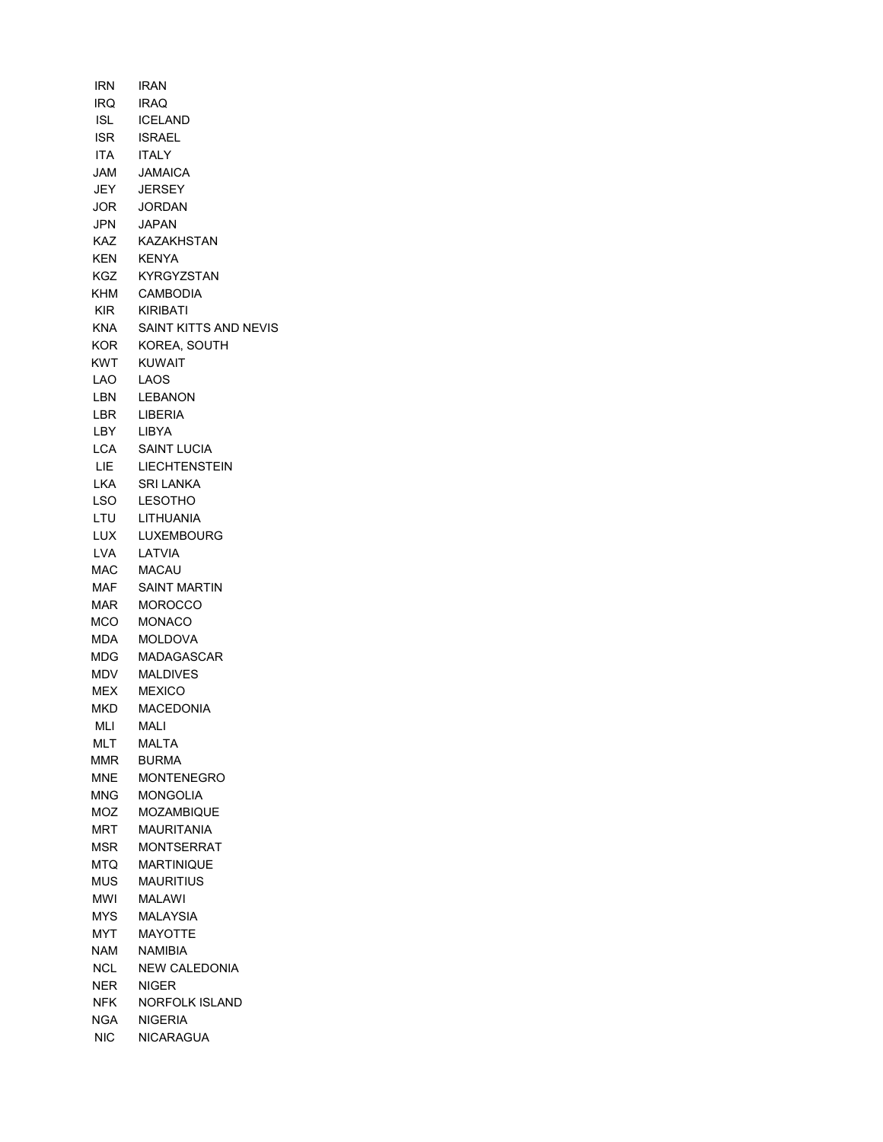IRN IRAN IRQ IRAQ ISL ICELAND ISR ISRAEL ITA ITALY JAM JAMAICA JEY JERSEY JOR JORDAN JPN JAPAN KAZ KAZAKHSTAN KEN KENYA KGZ KYRGYZSTAN KHM CAMBODIA KIR KIRIBATI KNA SAINT KITTS AND NEVIS KOR KOREA, SOUTH KWT KUWAIT LAO LAOS LBN LEBANON LBR LIBERIA LBY LIBYA LCA SAINT LUCIA LIE LIECHTENSTEIN LKA SRI LANKA LSO LESOTHO LTU LITHUANIA LUX LUXEMBOURG LVA LATVIA MAC MACAU MAF SAINT MARTIN MAR MOROCCO MCO MONACO MDA MOLDOVA MDG MADAGASCAR MDV MALDIVES MEX MEXICO MKD MACEDONIA MLI MALI MLT MALTA MMR BURMA MNE MONTENEGRO MNG MONGOLIA MOZ MOZAMBIQUE MRT MAURITANIA MSR MONTSERRAT MTQ MARTINIQUE MUS MAURITIUS MWI MALAWI MYS MALAYSIA MYT MAYOTTE NAM NAMIBIA NCL NEW CALEDONIA NER NIGER NFK NORFOLK ISLAND NGA NIGERIA NIC NICARAGUA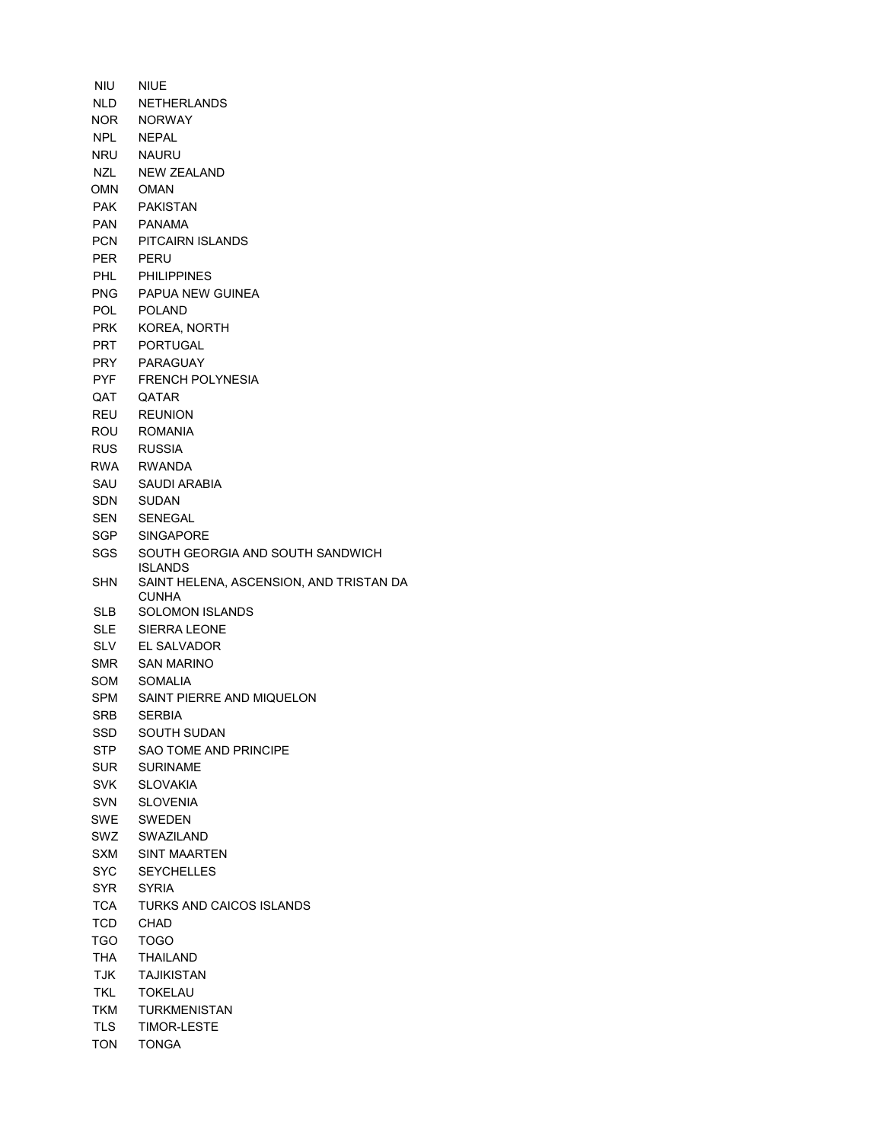NIU NIUE NLD NETHERLANDS NOR NORWAY NPL NEPAL NRU NAURU NZL NEW ZEALAND OMN OMAN PAK PAKISTAN PAN PANAMA PCN PITCAIRN ISLANDS PER PERU PHL PHILIPPINES PNG PAPUA NEW GUINEA POL POLAND PRK KOREA, NORTH PRT PORTUGAL PRY PARAGUAY PYF FRENCH POLYNESIA QAT QATAR REU REUNION ROU ROMANIA RUS RUSSIA RWA RWANDA SAU SAUDI ARABIA SDN SUDAN SEN SENEGAL SGP SINGAPORE SGS SOUTH GEORGIA AND SOUTH SANDWICH ISLANDS SHN SAINT HELENA, ASCENSION, AND TRISTAN DA CUNHA SLB SOLOMON ISLANDS SLE SIERRA LEONE SLV EL SALVADOR SMR SAN MARINO SOM SOMALIA SPM SAINT PIERRE AND MIQUELON SRB SERBIA SSD SOUTH SUDAN STP SAO TOME AND PRINCIPE SUR SURINAME SVK SLOVAKIA SVN SLOVENIA SWE SWEDEN SWZ SWAZILAND SXM SINT MAARTEN SYC SEYCHELLES SYR SYRIA TCA TURKS AND CAICOS ISLANDS TCD CHAD TGO TOGO THA THAILAND TJK TAJIKISTAN TKL TOKELAU TKM TURKMENISTAN TLS TIMOR-LESTE TON TONGA